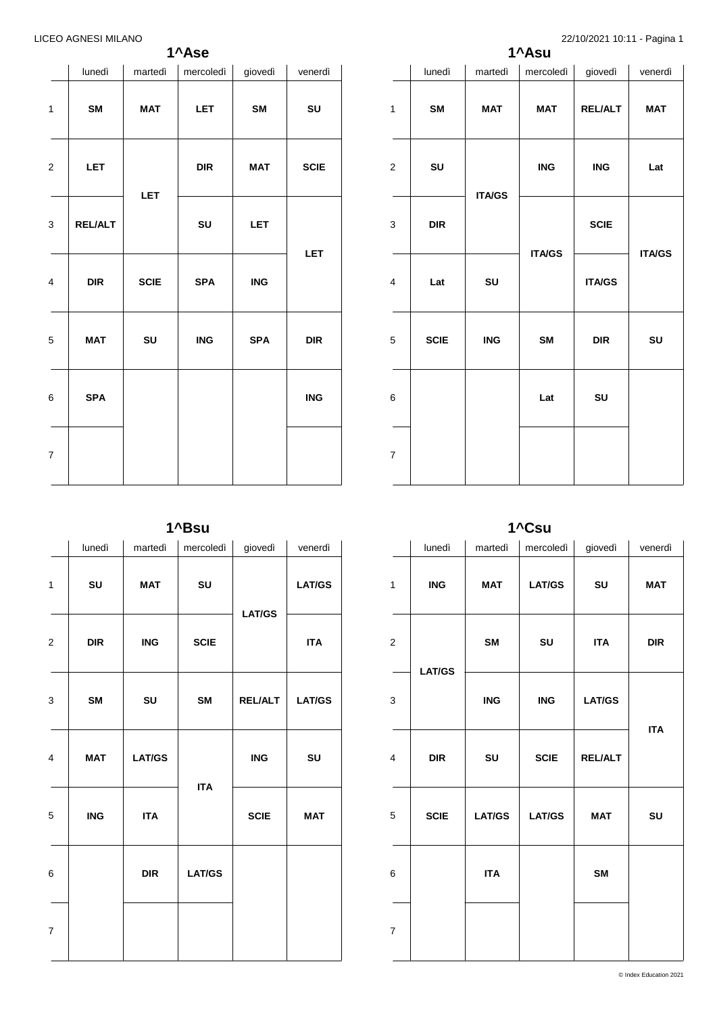**1^Ase**

|                         | lunedì         | martedì     | mercoledì  | giovedì    | venerdì     |
|-------------------------|----------------|-------------|------------|------------|-------------|
| $\mathbf{1}$            | SM             | <b>MAT</b>  | <b>LET</b> | SM         | SU          |
| $\overline{\mathbf{c}}$ | <b>LET</b>     |             | <b>DIR</b> | MAT        | <b>SCIE</b> |
| 3                       | <b>REL/ALT</b> | <b>LET</b>  | SU         | LET        | LET         |
| 4                       | <b>DIR</b>     | <b>SCIE</b> | <b>SPA</b> | <b>ING</b> |             |
| 5                       | <b>MAT</b>     | SU          | <b>ING</b> | <b>SPA</b> | <b>DIR</b>  |
| 6                       | <b>SPA</b>     |             |            |            | <b>ING</b>  |
| $\overline{7}$          |                |             |            |            |             |

| 1^Asu                    |             |               |               |                |               |  |  |  |
|--------------------------|-------------|---------------|---------------|----------------|---------------|--|--|--|
|                          | lunedì      | martedì       | mercoledì     | giovedì        | venerdì       |  |  |  |
| $\mathbf{1}$             | <b>SM</b>   | <b>MAT</b>    | <b>MAT</b>    | <b>REL/ALT</b> | <b>MAT</b>    |  |  |  |
| $\mathbf 2$              | SU          |               | <b>ING</b>    | ING            | Lat           |  |  |  |
| 3                        | <b>DIR</b>  | <b>ITA/GS</b> |               | <b>SCIE</b>    |               |  |  |  |
| 4                        | Lat         | SU            | <b>ITA/GS</b> | <b>ITA/GS</b>  | <b>ITA/GS</b> |  |  |  |
| 5                        | <b>SCIE</b> | <b>ING</b>    | <b>SM</b>     | <b>DIR</b>     | SU            |  |  |  |
| 6                        |             |               | Lat           | SU             |               |  |  |  |
| $\overline{\mathcal{I}}$ |             |               |               |                |               |  |  |  |

**1^Bsu**

|                         | lunedì     | martedì    | mercoledì     | giovedì        | venerdì       |               |
|-------------------------|------------|------------|---------------|----------------|---------------|---------------|
| 1                       | SU         | <b>MAT</b> | SU            | <b>LAT/GS</b>  |               | <b>LAT/GS</b> |
| $\overline{c}$          | DIR        | <b>ING</b> | <b>SCIE</b>   |                | <b>ITA</b>    |               |
| 3                       | SM         | SU         | <b>SM</b>     | <b>REL/ALT</b> | <b>LAT/GS</b> |               |
| $\overline{\mathbf{4}}$ | <b>MAT</b> | LAT/GS     |               | <b>ING</b>     | SU            |               |
| 5                       | <b>ING</b> | <b>ITA</b> | <b>ITA</b>    | <b>SCIE</b>    | <b>MAT</b>    |               |
| $\,6$                   |            | DIR        | <b>LAT/GS</b> |                |               |               |
| $\boldsymbol{7}$        |            |            |               |                |               |               |

**1^Csu**

|                         | lunedì        | martedì                   | mercoledì                 | giovedì        | venerdì    |
|-------------------------|---------------|---------------------------|---------------------------|----------------|------------|
| 1                       | <b>ING</b>    | <b>MAT</b>                | <b>LAT/GS</b>             | SU             | <b>MAT</b> |
| $\overline{\mathbf{c}}$ |               | SM                        | SU                        | <b>ITA</b>     | <b>DIR</b> |
| 3                       | <b>LAT/GS</b> | $\overline{\mathsf{ING}}$ | $\overline{\mathsf{ING}}$ | <b>LAT/GS</b>  | <b>ITA</b> |
| $\overline{\mathbf{4}}$ | <b>DIR</b>    | SU                        | <b>SCIE</b>               | <b>REL/ALT</b> |            |
| 5                       | <b>SCIE</b>   | <b>LAT/GS</b>             | <b>LAT/GS</b>             | <b>MAT</b>     | SU         |
| $\,6$                   |               | <b>ITA</b>                |                           | SM             |            |
| $\boldsymbol{7}$        |               |                           |                           |                |            |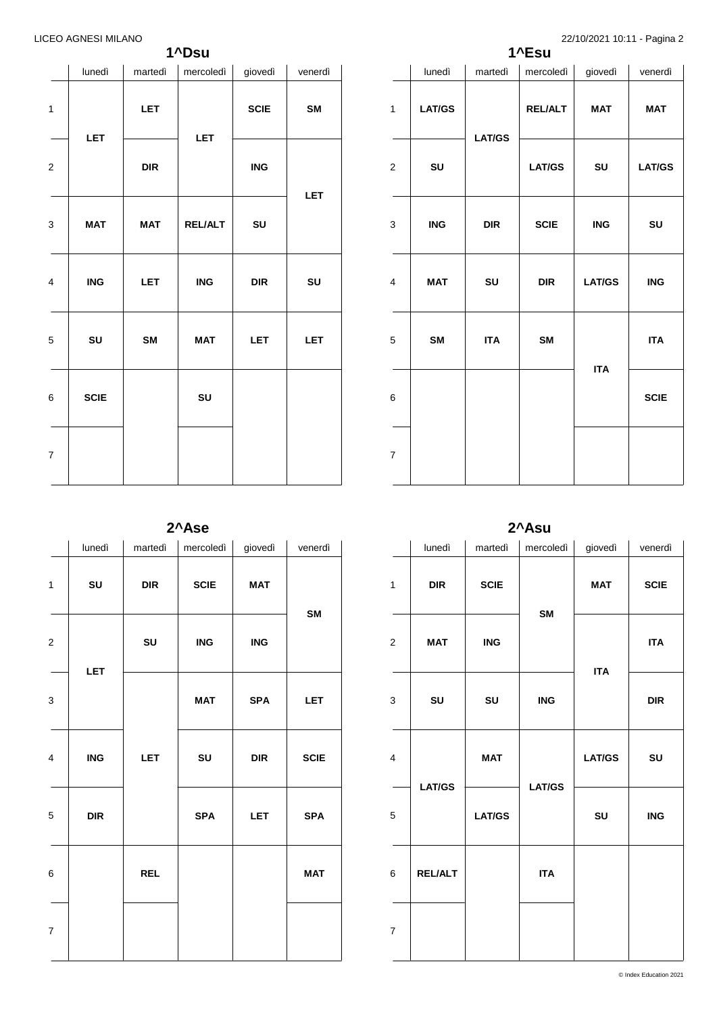# **1^Dsu**

|                         | lunedì      | martedì    | mercoledi      | giovedì                   | venerdì |
|-------------------------|-------------|------------|----------------|---------------------------|---------|
| $\mathbf{1}$            |             | <b>LET</b> | <b>LET</b>     | <b>SCIE</b>               | SM      |
| $\mathbf 2$             | LET         | DIR        |                | $\overline{\mathsf{ING}}$ | LET     |
| 3                       | <b>MAT</b>  | <b>MAT</b> | <b>REL/ALT</b> | SU                        |         |
| $\overline{\mathbf{4}}$ | <b>ING</b>  | <b>LET</b> | <b>ING</b>     | DIR                       | SU      |
| 5                       | ${\sf SU}$  | SM         | <b>MAT</b>     | <b>LET</b>                | LET     |
| 6                       | <b>SCIE</b> |            | SU             |                           |         |
| $\overline{\mathbf{7}}$ |             |            |                |                           |         |

|                  | 1^Esu         |               |                |               |               |  |  |  |  |
|------------------|---------------|---------------|----------------|---------------|---------------|--|--|--|--|
|                  | lunedì        | martedì       | mercoledì      | giovedì       | venerdì       |  |  |  |  |
| 1                | <b>LAT/GS</b> |               | <b>REL/ALT</b> | <b>MAT</b>    | <b>MAT</b>    |  |  |  |  |
| $\boldsymbol{2}$ | SU            | <b>LAT/GS</b> | <b>LAT/GS</b>  | SU            | <b>LAT/GS</b> |  |  |  |  |
| 3                | <b>ING</b>    | <b>DIR</b>    | <b>SCIE</b>    | <b>ING</b>    | SU            |  |  |  |  |
| 4                | <b>MAT</b>    | SU            | <b>DIR</b>     | <b>LAT/GS</b> | <b>ING</b>    |  |  |  |  |
| 5                | SM            | <b>ITA</b>    | <b>SM</b>      |               | <b>ITA</b>    |  |  |  |  |
| 6                |               |               |                | <b>ITA</b>    | <b>SCIE</b>   |  |  |  |  |
| $\boldsymbol{7}$ |               |               |                |               |               |  |  |  |  |

**2^Ase**

|                         | lunedì     | martedì    | mercoledi   | giovedì                     | venerdì     |
|-------------------------|------------|------------|-------------|-----------------------------|-------------|
| 1                       | SU         | <b>DIR</b> | <b>SCIE</b> | MAT                         |             |
| $\boldsymbol{2}$        |            | SU         | <b>ING</b>  | <b>ING</b>                  | SM          |
| $\mathsf 3$             | LET        |            | <b>MAT</b>  | <b>SPA</b>                  | LET         |
| $\overline{\mathbf{4}}$ | <b>ING</b> | <b>LET</b> | SU          | $\ensuremath{\mathsf{DIR}}$ | <b>SCIE</b> |
| 5                       | <b>DIR</b> |            | <b>SPA</b>  | LET                         | <b>SPA</b>  |
| $\,6$                   |            | <b>REL</b> |             |                             | <b>MAT</b>  |
| $\boldsymbol{7}$        |            |            |             |                             |             |

**2^Asu**

|                         | lunedì                      | martedì       | mercoledì     | giovedì    | venerdì     |
|-------------------------|-----------------------------|---------------|---------------|------------|-------------|
| $\mathbf{1}$            | $\ensuremath{\mathsf{DIR}}$ | <b>SCIE</b>   |               | <b>MAT</b> | <b>SCIE</b> |
| $\overline{c}$          | <b>MAT</b>                  | <b>ING</b>    | SM<br>ING     | <b>ITA</b> | <b>ITA</b>  |
| 3                       | SU                          | SU            |               |            | DIR         |
| $\overline{\mathbf{4}}$ | <b>MAT</b>                  | LAT/GS        | <b>LAT/GS</b> | SU         |             |
| $\mathbf 5$             | <b>LAT/GS</b>               | <b>LAT/GS</b> |               | SU         | <b>ING</b>  |
| 6                       | <b>REL/ALT</b>              |               | <b>ITA</b>    |            |             |
| $\overline{7}$          |                             |               |               |            |             |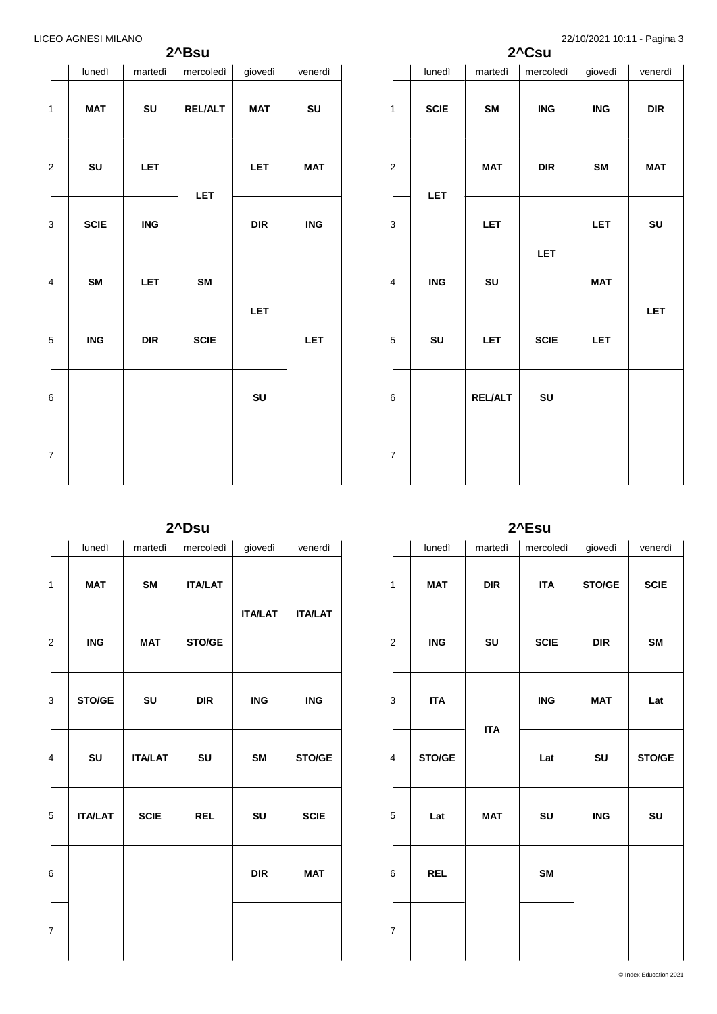# **2^Bsu**

|                         | lunedì      | martedì    | mercoledì      | giovedì | venerdì    |
|-------------------------|-------------|------------|----------------|---------|------------|
| $\mathbf 1$             | <b>MAT</b>  | SU         | <b>REL/ALT</b> | MAT     | SU         |
| $\overline{\mathbf{c}}$ | SU          | <b>LET</b> | LET            | LET     | MAT        |
| 3                       | <b>SCIE</b> | <b>ING</b> |                | DIR     | <b>ING</b> |
| 4                       | SM          | <b>LET</b> | SM             |         | <b>LET</b> |
| 5                       | <b>ING</b>  | DIR        | <b>SCIE</b>    | LET     |            |
| 6                       |             |            |                | SU      |            |
| $\overline{7}$          |             |            |                |         |            |

LICEO AGNESI MILANO 22/10/2021 10:11 - Pagina 3

|                  | 2^Csu       |                |             |            |            |  |  |  |  |
|------------------|-------------|----------------|-------------|------------|------------|--|--|--|--|
|                  | lunedì      | martedì        | mercoledi   | giovedì    | venerdì    |  |  |  |  |
| $\mathbf{1}$     | <b>SCIE</b> | <b>SM</b>      | <b>ING</b>  | <b>ING</b> | <b>DIR</b> |  |  |  |  |
| $\boldsymbol{2}$ | <b>LET</b>  | <b>MAT</b>     | <b>DIR</b>  | SM         | <b>MAT</b> |  |  |  |  |
| 3                |             | <b>LET</b>     | LET         | <b>LET</b> | SU         |  |  |  |  |
| 4                | <b>ING</b>  | SU             |             | <b>MAT</b> | LET        |  |  |  |  |
| 5                | SU          | <b>LET</b>     | <b>SCIE</b> | <b>LET</b> |            |  |  |  |  |
| 6                |             | <b>REL/ALT</b> | SU          |            |            |  |  |  |  |
| $\boldsymbol{7}$ |             |                |             |            |            |  |  |  |  |

**2^Dsu**

|                         | lunedì         | martedì        | mercoledi      | giovedì        | venerdì        |
|-------------------------|----------------|----------------|----------------|----------------|----------------|
| 1                       | <b>MAT</b>     | <b>SM</b>      | <b>ITA/LAT</b> | <b>ITA/LAT</b> | <b>ITA/LAT</b> |
| $\overline{\mathbf{c}}$ | <b>ING</b>     | <b>MAT</b>     | STO/GE         |                |                |
| 3                       | STO/GE         | SU             | <b>DIR</b>     | <b>ING</b>     | <b>ING</b>     |
| $\overline{4}$          | SU             | <b>ITA/LAT</b> | SU             | SM             | STO/GE         |
| 5                       | <b>ITA/LAT</b> | <b>SCIE</b>    | <b>REL</b>     | SU             | <b>SCIE</b>    |
| 6                       |                |                |                | <b>DIR</b>     | <b>MAT</b>     |
| $\overline{7}$          |                |                |                |                |                |

**2^Esu**

|                | lunedì     | martedì    | mercoledi   | giovedì    | venerdì     |
|----------------|------------|------------|-------------|------------|-------------|
| $\mathbf{1}$   | <b>MAT</b> | <b>DIR</b> | <b>ITA</b>  | STO/GE     | <b>SCIE</b> |
| $\mathbf{2}$   | <b>ING</b> | SU         | <b>SCIE</b> | <b>DIR</b> | SM          |
| 3              | <b>ITA</b> | <b>ITA</b> | <b>ING</b>  | <b>MAT</b> | Lat         |
| 4              | STO/GE     |            | Lat         | SU         | STO/GE      |
| 5              | Lat        | MAT        | SU          | ING        | SU          |
| 6              | <b>REL</b> |            | SM          |            |             |
| $\overline{7}$ |            |            |             |            |             |

© Index Education 2021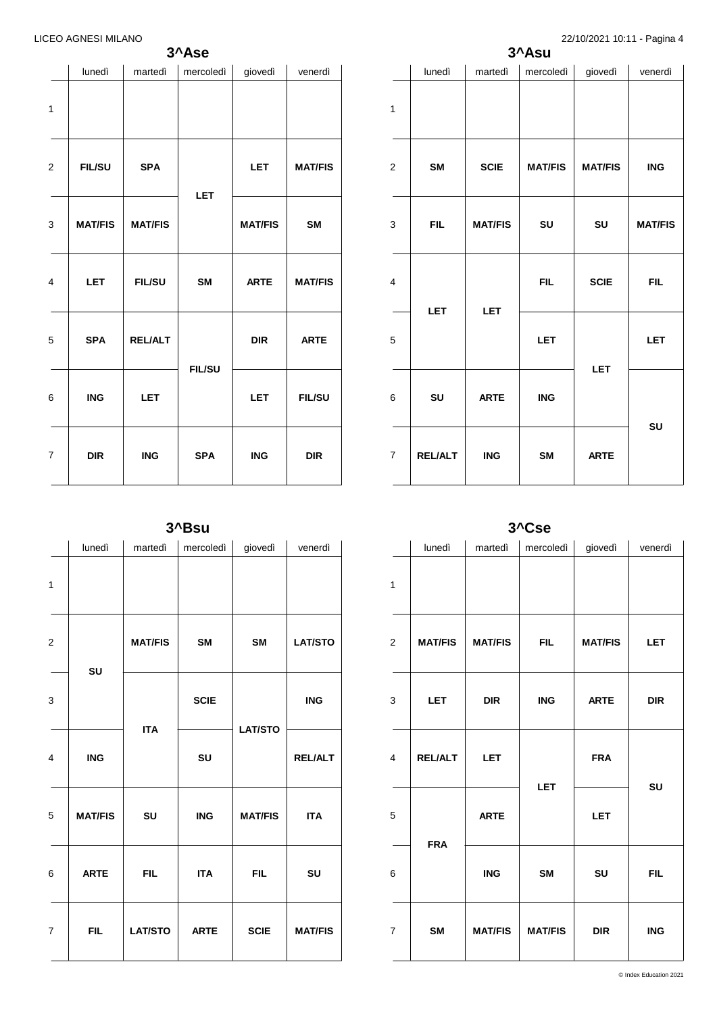# **3^Ase**

|                | lunedì         | martedì        | mercoledì     | giovedì        | venerdì        |
|----------------|----------------|----------------|---------------|----------------|----------------|
| $\mathbf{1}$   |                |                |               |                |                |
| 2              | <b>FIL/SU</b>  | <b>SPA</b>     | <b>LET</b>    | LET            | <b>MAT/FIS</b> |
| 3              | <b>MAT/FIS</b> | <b>MAT/FIS</b> |               | <b>MAT/FIS</b> | <b>SM</b>      |
| 4              | <b>LET</b>     | <b>FIL/SU</b>  | <b>SM</b>     | <b>ARTE</b>    | <b>MAT/FIS</b> |
| 5              | <b>SPA</b>     | <b>REL/ALT</b> | <b>FIL/SU</b> | <b>DIR</b>     | <b>ARTE</b>    |
| 6              | <b>ING</b>     | <b>LET</b>     |               | <b>LET</b>     | <b>FIL/SU</b>  |
| $\overline{7}$ | <b>DIR</b>     | <b>ING</b>     | <b>SPA</b>    | <b>ING</b>     | <b>DIR</b>     |
|                |                |                |               |                |                |

|                         |                | $\mathcal{L}$ - $\mathcal{L}$ , $\mathcal{L}$ , $\mathcal{L}$ , $\mathcal{L}$ , $\mathcal{L}$ , $\mathcal{L}$ , $\mathcal{L}$ , $\mathcal{L}$ , $\mathcal{L}$ , $\mathcal{L}$ , $\mathcal{L}$ , $\mathcal{L}$ , $\mathcal{L}$ , $\mathcal{L}$ , $\mathcal{L}$ , $\mathcal{L}$ , $\mathcal{L}$ , $\mathcal{L}$ , $\mathcal{L}$ ,<br>3^Asu<br>lunedì<br>mercoledì<br>giovedì<br>martedì<br><b>SCIE</b><br><b>MAT/FIS</b><br>SM<br><b>FIL</b><br><b>MAT/FIS</b><br>SU<br>SU<br><b>FIL</b><br><b>SCIE</b><br><b>LET</b><br><b>LET</b><br><b>LET</b><br>LET |            |                |                |
|-------------------------|----------------|--------------------------------------------------------------------------------------------------------------------------------------------------------------------------------------------------------------------------------------------------------------------------------------------------------------------------------------------------------------------------------------------------------------------------------------------------------------------------------------------------------------------------------------------------------|------------|----------------|----------------|
|                         |                |                                                                                                                                                                                                                                                                                                                                                                                                                                                                                                                                                        |            |                | venerdì        |
| $\mathbf{1}$            |                |                                                                                                                                                                                                                                                                                                                                                                                                                                                                                                                                                        |            |                |                |
| $\boldsymbol{2}$        |                |                                                                                                                                                                                                                                                                                                                                                                                                                                                                                                                                                        |            | <b>MAT/FIS</b> | <b>ING</b>     |
| $\mathsf 3$             |                |                                                                                                                                                                                                                                                                                                                                                                                                                                                                                                                                                        |            |                | <b>MAT/FIS</b> |
| $\overline{\mathbf{4}}$ |                |                                                                                                                                                                                                                                                                                                                                                                                                                                                                                                                                                        |            |                | <b>FIL</b>     |
| 5                       |                |                                                                                                                                                                                                                                                                                                                                                                                                                                                                                                                                                        |            |                | <b>LET</b>     |
| 6                       | SU             | <b>ARTE</b>                                                                                                                                                                                                                                                                                                                                                                                                                                                                                                                                            | <b>ING</b> |                | SU             |
| $\boldsymbol{7}$        | <b>REL/ALT</b> | <b>ING</b>                                                                                                                                                                                                                                                                                                                                                                                                                                                                                                                                             | <b>SM</b>  | <b>ARTE</b>    |                |

|                |                |                | 3^Cse          |                |            |  |  |  |  |  |
|----------------|----------------|----------------|----------------|----------------|------------|--|--|--|--|--|
|                | lunedì         | martedì        | mercoledì      | giovedì        | venerdì    |  |  |  |  |  |
| $\mathbf{1}$   |                |                |                |                |            |  |  |  |  |  |
| $\overline{2}$ | <b>MAT/FIS</b> | <b>MAT/FIS</b> | <b>FIL</b>     | <b>MAT/FIS</b> | <b>LET</b> |  |  |  |  |  |
| 3              | <b>LET</b>     | <b>DIR</b>     | <b>ING</b>     | <b>ARTE</b>    | <b>DIR</b> |  |  |  |  |  |
| 4              | <b>REL/ALT</b> | <b>LET</b>     |                | <b>FRA</b>     |            |  |  |  |  |  |
| 5              | <b>FRA</b>     | <b>ARTE</b>    | <b>LET</b>     | <b>LET</b>     | SU         |  |  |  |  |  |
| 6              |                | <b>ING</b>     | <b>SM</b>      | SU             | <b>FIL</b> |  |  |  |  |  |
| $\overline{7}$ | <b>SM</b>      | <b>MAT/FIS</b> | <b>MAT/FIS</b> | <b>DIR</b>     | <b>ING</b> |  |  |  |  |  |

**3^Bsu**

|                | lunedì         | martedì        | mercoledì   | giovedì        | venerdì        |
|----------------|----------------|----------------|-------------|----------------|----------------|
| $\mathbf{1}$   |                |                |             |                |                |
| $\mathbf 2$    | SU             | <b>MAT/FIS</b> | <b>SM</b>   | <b>SM</b>      | <b>LAT/STO</b> |
| 3              |                | <b>ITA</b>     | <b>SCIE</b> | <b>LAT/STO</b> | <b>ING</b>     |
| $\overline{4}$ | <b>ING</b>     |                | SU          |                | <b>REL/ALT</b> |
| 5              | <b>MAT/FIS</b> | SU             | <b>ING</b>  | <b>MAT/FIS</b> | <b>ITA</b>     |
| 6              | <b>ARTE</b>    | <b>FIL</b>     | <b>ITA</b>  | <b>FIL</b>     | SU             |
| $\overline{7}$ | <b>FIL</b>     | <b>LAT/STO</b> | <b>ARTE</b> | <b>SCIE</b>    | <b>MAT/FIS</b> |
|                |                |                |             |                |                |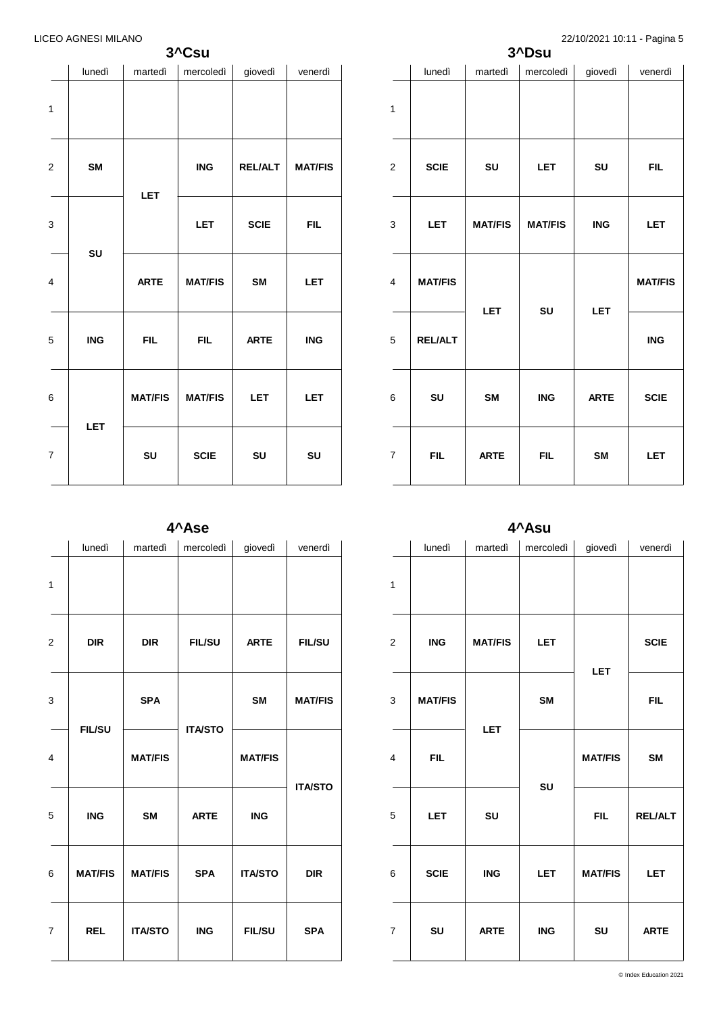# **3^Csu**

|                         | lunedì     | martedì        | mercoledì      | giovedì        | venerdì        |
|-------------------------|------------|----------------|----------------|----------------|----------------|
| 1                       |            |                |                |                |                |
| $\overline{\mathbf{c}}$ | SM         | <b>LET</b>     | <b>ING</b>     | <b>REL/ALT</b> | <b>MAT/FIS</b> |
| 3                       | SU         |                | <b>LET</b>     | <b>SCIE</b>    | <b>FIL</b>     |
| $\overline{\mathbf{4}}$ |            | <b>ARTE</b>    | <b>MAT/FIS</b> | SM             | <b>LET</b>     |
| 5                       | <b>ING</b> | <b>FIL</b>     | <b>FIL</b>     | <b>ARTE</b>    | <b>ING</b>     |
| 6                       |            | <b>MAT/FIS</b> | <b>MAT/FIS</b> | <b>LET</b>     | <b>LET</b>     |
| $\boldsymbol{7}$        | LET        | SU             | <b>SCIE</b>    | SU             | SU             |

|                  |                |                | 3^Dsu          |             | ت -            |
|------------------|----------------|----------------|----------------|-------------|----------------|
|                  | lunedì         | martedì        | mercoledì      | giovedì     | venerdì        |
| $\mathbf{1}$     |                |                |                |             |                |
| $\boldsymbol{2}$ | <b>SCIE</b>    | SU             | <b>LET</b>     | SU          | <b>FIL</b>     |
| 3                | <b>LET</b>     | <b>MAT/FIS</b> | <b>MAT/FIS</b> | <b>ING</b>  | <b>LET</b>     |
| 4                | <b>MAT/FIS</b> |                |                |             | <b>MAT/FIS</b> |
| 5                | <b>REL/ALT</b> | <b>LET</b>     | SU             | <b>LET</b>  | <b>ING</b>     |
| 6                | SU             | <b>SM</b>      | <b>ING</b>     | <b>ARTE</b> | <b>SCIE</b>    |
| $\boldsymbol{7}$ | <b>FIL</b>     | <b>ARTE</b>    | <b>FIL</b>     | <b>SM</b>   | <b>LET</b>     |

**4^Ase**

|                | lunedì         | martedì        | mercoledì      | giovedì        | venerdì        |
|----------------|----------------|----------------|----------------|----------------|----------------|
| $\mathbf{1}$   |                |                |                |                |                |
| $\overline{2}$ | <b>DIR</b>     | <b>DIR</b>     | <b>FIL/SU</b>  | <b>ARTE</b>    | <b>FIL/SU</b>  |
| 3              | <b>FIL/SU</b>  | <b>SPA</b>     | <b>ITA/STO</b> | <b>SM</b>      | <b>MAT/FIS</b> |
| $\overline{4}$ |                | <b>MAT/FIS</b> |                | <b>MAT/FIS</b> | <b>ITA/STO</b> |
| 5              | <b>ING</b>     | <b>SM</b>      | <b>ARTE</b>    | <b>ING</b>     |                |
| 6              | <b>MAT/FIS</b> | <b>MAT/FIS</b> | <b>SPA</b>     | <b>ITA/STO</b> | <b>DIR</b>     |
| $\overline{7}$ | <b>REL</b>     | <b>ITA/STO</b> | <b>ING</b>     | <b>FIL/SU</b>  | <b>SPA</b>     |

**4^Asu**

|                         | lunedì                    | martedì        | mercoledì  | giovedì        | venerdì        |
|-------------------------|---------------------------|----------------|------------|----------------|----------------|
| $\mathbf{1}$            |                           |                |            |                |                |
| $\overline{\mathbf{c}}$ | $\overline{\mathsf{ING}}$ | <b>MAT/FIS</b> | <b>LET</b> |                | <b>SCIE</b>    |
| 3                       | <b>MAT/FIS</b>            | <b>LET</b>     | <b>SM</b>  | <b>LET</b>     | <b>FIL</b>     |
| $\overline{\mathbf{4}}$ | <b>FIL</b>                |                | SU         | <b>MAT/FIS</b> | <b>SM</b>      |
| 5                       | <b>LET</b>                | SU             |            | <b>FIL</b>     | <b>REL/ALT</b> |
| 6                       | <b>SCIE</b>               | <b>ING</b>     | <b>LET</b> | <b>MAT/FIS</b> | <b>LET</b>     |
| $\overline{7}$          | SU                        | <b>ARTE</b>    | <b>ING</b> | SU             | <b>ARTE</b>    |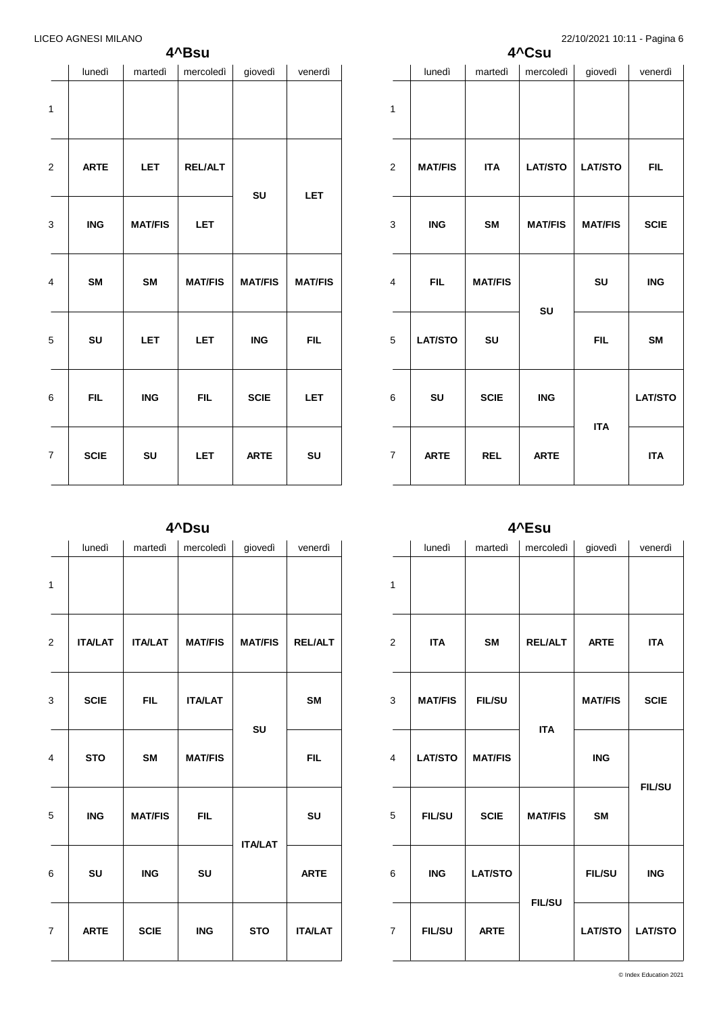|              | lunedì      | martedì        | mercoledì      | giovedì        | venerdì        |
|--------------|-------------|----------------|----------------|----------------|----------------|
| $\mathbf{1}$ |             |                |                |                |                |
| 2            | <b>ARTE</b> | <b>LET</b>     | <b>REL/ALT</b> |                |                |
| 3            | <b>ING</b>  | <b>MAT/FIS</b> | <b>LET</b>     | SU             | <b>LET</b>     |
| 4            | <b>SM</b>   | <b>SM</b>      | <b>MAT/FIS</b> | <b>MAT/FIS</b> | <b>MAT/FIS</b> |
| 5            | SU          | <b>LET</b>     | <b>LET</b>     | <b>ING</b>     | <b>FIL</b>     |
| 6            | <b>FIL</b>  | <b>ING</b>     | <b>FIL</b>     | <b>SCIE</b>    | LET            |
| 7            | <b>SCIE</b> | SU             | <b>LET</b>     | <b>ARTE</b>    | SU             |
|              |             |                |                |                |                |

|                  | lunedì         | martedì        | mercoledì      | giovedì        | venerdì        |
|------------------|----------------|----------------|----------------|----------------|----------------|
| $\mathbf{1}$     |                |                |                |                |                |
| $\overline{2}$   | <b>MAT/FIS</b> | <b>ITA</b>     | <b>LAT/STO</b> | <b>LAT/STO</b> | <b>FIL</b>     |
| 3                | <b>ING</b>     | <b>SM</b>      | <b>MAT/FIS</b> | <b>MAT/FIS</b> | <b>SCIE</b>    |
| 4                | <b>FIL</b>     | <b>MAT/FIS</b> |                | SU             | <b>ING</b>     |
| 5                | <b>LAT/STO</b> | SU             | SU             | <b>FIL</b>     | <b>SM</b>      |
| 6                | SU             | <b>SCIE</b>    | <b>ING</b>     |                | <b>LAT/STO</b> |
| $\boldsymbol{7}$ | <b>ARTE</b>    | <b>REL</b>     | <b>ARTE</b>    | <b>ITA</b>     | <b>ITA</b>     |

**4^Csu**

**4^Dsu**

|                | lunedì         | martedì        | mercoledì      | giovedì        | venerdì        |
|----------------|----------------|----------------|----------------|----------------|----------------|
| $\mathbf{1}$   |                |                |                |                |                |
| $\mathbf{2}$   | <b>ITA/LAT</b> | <b>ITA/LAT</b> | <b>MAT/FIS</b> | <b>MAT/FIS</b> | <b>REL/ALT</b> |
| 3              | <b>SCIE</b>    | <b>FIL</b>     | <b>ITA/LAT</b> |                | SM             |
| $\overline{4}$ | <b>STO</b>     | <b>SM</b>      | <b>MAT/FIS</b> | SU             | <b>FIL</b>     |
| 5              | <b>ING</b>     | <b>MAT/FIS</b> | <b>FIL</b>     |                | SU             |
| 6              | SU             | <b>ING</b>     | SU             | <b>ITA/LAT</b> | <b>ARTE</b>    |
| $\overline{7}$ | <b>ARTE</b>    | <b>SCIE</b>    | <b>ING</b>     | <b>STO</b>     | <b>ITA/LAT</b> |

**4^Esu**

|                         |                |                | ∟ou            |                |                |
|-------------------------|----------------|----------------|----------------|----------------|----------------|
|                         | lunedì         | martedì        | mercoledì      | giovedì        | venerdì        |
| $\mathbf{1}$            |                |                |                |                |                |
| $\overline{\mathbf{c}}$ | <b>ITA</b>     | <b>SM</b>      | <b>REL/ALT</b> | <b>ARTE</b>    | <b>ITA</b>     |
| 3                       | <b>MAT/FIS</b> | <b>FIL/SU</b>  | <b>ITA</b>     | <b>MAT/FIS</b> | <b>SCIE</b>    |
| 4                       | <b>LAT/STO</b> | <b>MAT/FIS</b> |                | <b>ING</b>     | <b>FIL/SU</b>  |
| 5                       | <b>FIL/SU</b>  | <b>SCIE</b>    | <b>MAT/FIS</b> | <b>SM</b>      |                |
| 6                       | <b>ING</b>     | <b>LAT/STO</b> | <b>FIL/SU</b>  | <b>FIL/SU</b>  | <b>ING</b>     |
| $\overline{7}$          | <b>FIL/SU</b>  | <b>ARTE</b>    |                | <b>LAT/STO</b> | <b>LAT/STO</b> |
|                         |                |                |                |                |                |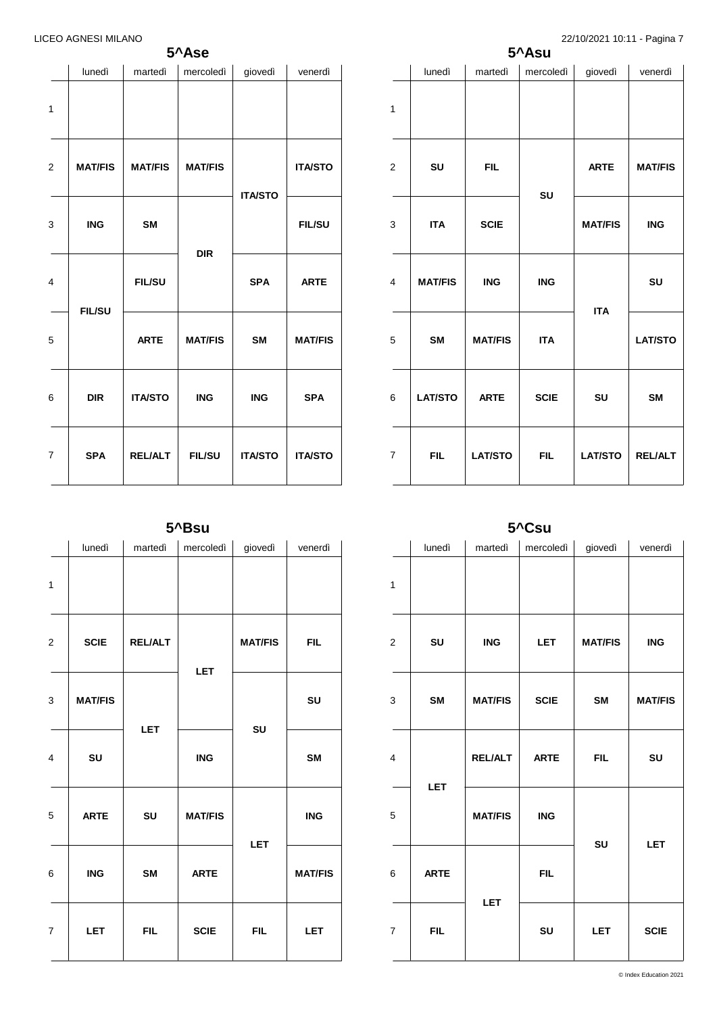# **5^Ase**

|                         | lunedì         | martedì        | mercoledì                    | giovedì        | venerdì        |
|-------------------------|----------------|----------------|------------------------------|----------------|----------------|
| 1                       |                |                |                              |                |                |
| $\overline{\mathbf{c}}$ | <b>MAT/FIS</b> | <b>MAT/FIS</b> | <b>MAT/FIS</b><br><b>DIR</b> | <b>ITA/STO</b> | <b>ITA/STO</b> |
| 3                       | <b>ING</b>     | <b>SM</b>      |                              |                | <b>FIL/SU</b>  |
| 4                       | <b>FIL/SU</b>  | <b>FIL/SU</b>  |                              | <b>SPA</b>     | <b>ARTE</b>    |
| 5                       |                | <b>ARTE</b>    | <b>MAT/FIS</b>               | <b>SM</b>      | <b>MAT/FIS</b> |
| 6                       | <b>DIR</b>     | <b>ITA/STO</b> | <b>ING</b>                   | <b>ING</b>     | <b>SPA</b>     |
| $\overline{7}$          | <b>SPA</b>     | <b>REL/ALT</b> | <b>FIL/SU</b>                | <b>ITA/STO</b> | <b>ITA/STO</b> |

|                         | lunedì         | martedì        | mercoledì   | giovedì        | venerdì        |
|-------------------------|----------------|----------------|-------------|----------------|----------------|
| $\mathbf{1}$            |                |                |             |                |                |
| $\overline{2}$          | SU             | <b>FIL</b>     | SU          | <b>ARTE</b>    | <b>MAT/FIS</b> |
| 3                       | <b>ITA</b>     | <b>SCIE</b>    |             | <b>MAT/FIS</b> | <b>ING</b>     |
| $\overline{\mathbf{4}}$ | <b>MAT/FIS</b> | <b>ING</b>     | <b>ING</b>  | <b>ITA</b>     | SU             |
| 5                       | <b>SM</b>      | <b>MAT/FIS</b> | <b>ITA</b>  |                | <b>LAT/STO</b> |
| 6                       | <b>LAT/STO</b> | <b>ARTE</b>    | <b>SCIE</b> | SU             | <b>SM</b>      |
| $\overline{7}$          | <b>FIL</b>     | <b>LAT/STO</b> | <b>FIL</b>  | <b>LAT/STO</b> | <b>REL/ALT</b> |

# **5^Bsu**

|                         | lunedì         | martedì                      | mercoledì      | giovedì        | venerdì        |
|-------------------------|----------------|------------------------------|----------------|----------------|----------------|
| $\mathbf{1}$            |                |                              |                |                |                |
| $\overline{\mathbf{c}}$ | <b>SCIE</b>    | <b>REL/ALT</b><br><b>LET</b> | <b>LET</b>     | <b>MAT/FIS</b> | <b>FIL</b>     |
| 3                       | <b>MAT/FIS</b> |                              |                | SU             | SU             |
| $\overline{\mathbf{4}}$ | SU             |                              | <b>ING</b>     |                | SM             |
| 5                       | <b>ARTE</b>    | SU                           | <b>MAT/FIS</b> | <b>LET</b>     | <b>ING</b>     |
| 6                       | <b>ING</b>     | <b>SM</b>                    | <b>ARTE</b>    |                | <b>MAT/FIS</b> |
| $\overline{7}$          | <b>LET</b>     | <b>FIL</b>                   | <b>SCIE</b>    | <b>FIL</b>     | LET            |

**5^Csu**

|              |             | v                         | - vuu       |                |                |
|--------------|-------------|---------------------------|-------------|----------------|----------------|
|              | lunedì      | martedì                   | mercoledì   | giovedì        | venerdì        |
| $\mathbf{1}$ |             |                           |             |                |                |
| 2            | SU          | $\overline{\mathsf{ING}}$ | <b>LET</b>  | <b>MAT/FIS</b> | <b>ING</b>     |
| 3            | <b>SM</b>   | <b>MAT/FIS</b>            | <b>SCIE</b> | SM             | <b>MAT/FIS</b> |
| 4            | LET         | <b>REL/ALT</b>            | <b>ARTE</b> | <b>FIL</b>     | SU             |
| 5            |             | <b>MAT/FIS</b>            | <b>ING</b>  | SU             | LET            |
| 6            | <b>ARTE</b> | LET                       | <b>FIL</b>  |                |                |
| 7            | <b>FIL</b>  |                           | SU          | <b>LET</b>     | <b>SCIE</b>    |
|              |             |                           |             |                |                |

© Index Education 2021